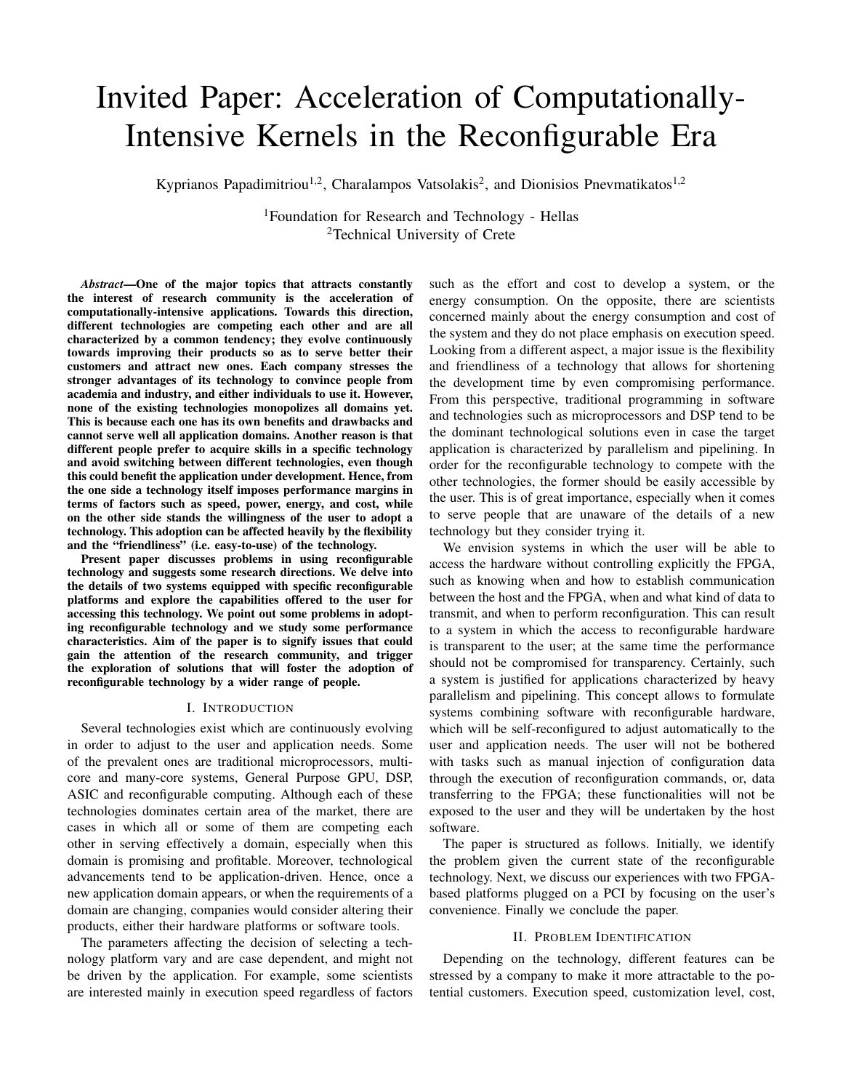# Invited Paper: Acceleration of Computationally-Intensive Kernels in the Reconfigurable Era

Kyprianos Papadimitriou<sup>1,2</sup>, Charalampos Vatsolakis<sup>2</sup>, and Dionisios Pnevmatikatos<sup>1,2</sup>

<sup>1</sup>Foundation for Research and Technology - Hellas <sup>2</sup>Technical University of Crete

*Abstract*—One of the major topics that attracts constantly the interest of research community is the acceleration of computationally-intensive applications. Towards this direction, different technologies are competing each other and are all characterized by a common tendency; they evolve continuously towards improving their products so as to serve better their customers and attract new ones. Each company stresses the stronger advantages of its technology to convince people from academia and industry, and either individuals to use it. However, none of the existing technologies monopolizes all domains yet. This is because each one has its own benefits and drawbacks and cannot serve well all application domains. Another reason is that different people prefer to acquire skills in a specific technology and avoid switching between different technologies, even though this could benefit the application under development. Hence, from the one side a technology itself imposes performance margins in terms of factors such as speed, power, energy, and cost, while on the other side stands the willingness of the user to adopt a technology. This adoption can be affected heavily by the flexibility and the "friendliness" (i.e. easy-to-use) of the technology.

Present paper discusses problems in using reconfigurable technology and suggests some research directions. We delve into the details of two systems equipped with specific reconfigurable platforms and explore the capabilities offered to the user for accessing this technology. We point out some problems in adopting reconfigurable technology and we study some performance characteristics. Aim of the paper is to signify issues that could gain the attention of the research community, and trigger the exploration of solutions that will foster the adoption of reconfigurable technology by a wider range of people.

### I. INTRODUCTION

Several technologies exist which are continuously evolving in order to adjust to the user and application needs. Some of the prevalent ones are traditional microprocessors, multicore and many-core systems, General Purpose GPU, DSP, ASIC and reconfigurable computing. Although each of these technologies dominates certain area of the market, there are cases in which all or some of them are competing each other in serving effectively a domain, especially when this domain is promising and profitable. Moreover, technological advancements tend to be application-driven. Hence, once a new application domain appears, or when the requirements of a domain are changing, companies would consider altering their products, either their hardware platforms or software tools.

The parameters affecting the decision of selecting a technology platform vary and are case dependent, and might not be driven by the application. For example, some scientists are interested mainly in execution speed regardless of factors such as the effort and cost to develop a system, or the energy consumption. On the opposite, there are scientists concerned mainly about the energy consumption and cost of the system and they do not place emphasis on execution speed. Looking from a different aspect, a major issue is the flexibility and friendliness of a technology that allows for shortening the development time by even compromising performance. From this perspective, traditional programming in software and technologies such as microprocessors and DSP tend to be the dominant technological solutions even in case the target application is characterized by parallelism and pipelining. In order for the reconfigurable technology to compete with the other technologies, the former should be easily accessible by the user. This is of great importance, especially when it comes to serve people that are unaware of the details of a new technology but they consider trying it.

We envision systems in which the user will be able to access the hardware without controlling explicitly the FPGA, such as knowing when and how to establish communication between the host and the FPGA, when and what kind of data to transmit, and when to perform reconfiguration. This can result to a system in which the access to reconfigurable hardware is transparent to the user; at the same time the performance should not be compromised for transparency. Certainly, such a system is justified for applications characterized by heavy parallelism and pipelining. This concept allows to formulate systems combining software with reconfigurable hardware, which will be self-reconfigured to adjust automatically to the user and application needs. The user will not be bothered with tasks such as manual injection of configuration data through the execution of reconfiguration commands, or, data transferring to the FPGA; these functionalities will not be exposed to the user and they will be undertaken by the host software.

The paper is structured as follows. Initially, we identify the problem given the current state of the reconfigurable technology. Next, we discuss our experiences with two FPGAbased platforms plugged on a PCI by focusing on the user's convenience. Finally we conclude the paper.

# II. PROBLEM IDENTIFICATION

Depending on the technology, different features can be stressed by a company to make it more attractable to the potential customers. Execution speed, customization level, cost,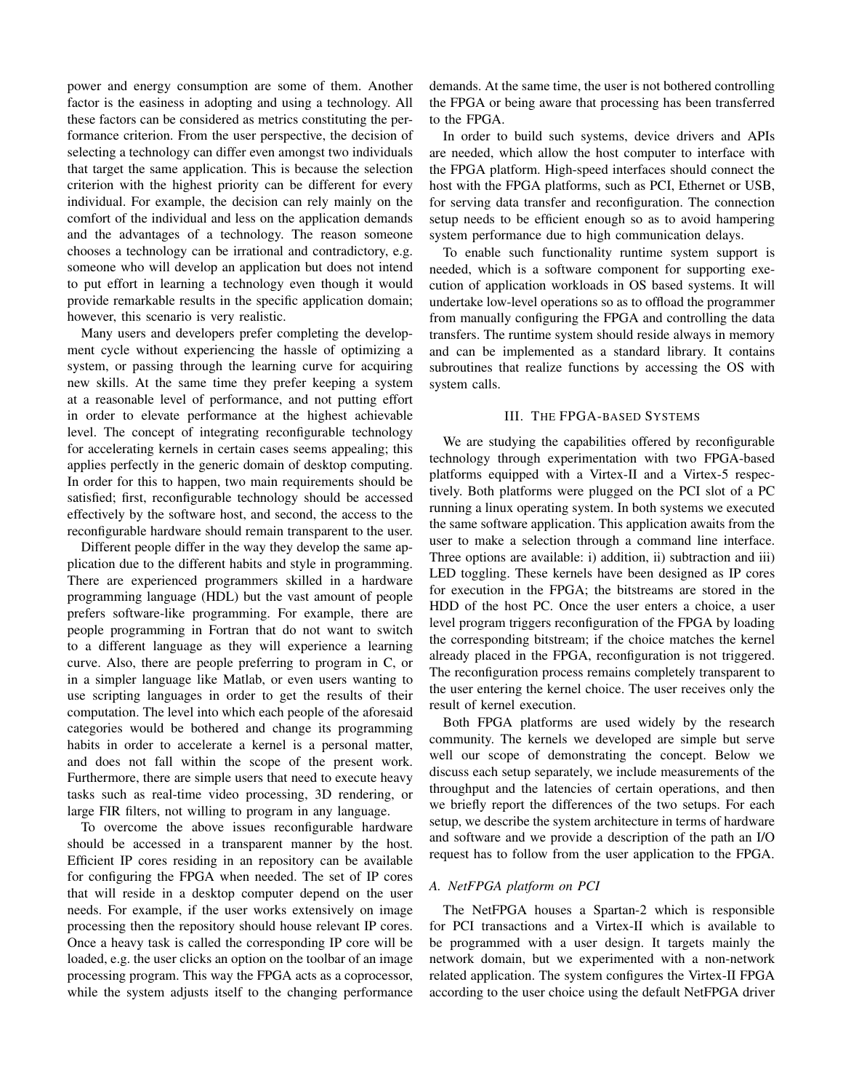power and energy consumption are some of them. Another factor is the easiness in adopting and using a technology. All these factors can be considered as metrics constituting the performance criterion. From the user perspective, the decision of selecting a technology can differ even amongst two individuals that target the same application. This is because the selection criterion with the highest priority can be different for every individual. For example, the decision can rely mainly on the comfort of the individual and less on the application demands and the advantages of a technology. The reason someone chooses a technology can be irrational and contradictory, e.g. someone who will develop an application but does not intend to put effort in learning a technology even though it would provide remarkable results in the specific application domain; however, this scenario is very realistic.

Many users and developers prefer completing the development cycle without experiencing the hassle of optimizing a system, or passing through the learning curve for acquiring new skills. At the same time they prefer keeping a system at a reasonable level of performance, and not putting effort in order to elevate performance at the highest achievable level. The concept of integrating reconfigurable technology for accelerating kernels in certain cases seems appealing; this applies perfectly in the generic domain of desktop computing. In order for this to happen, two main requirements should be satisfied; first, reconfigurable technology should be accessed effectively by the software host, and second, the access to the reconfigurable hardware should remain transparent to the user.

Different people differ in the way they develop the same application due to the different habits and style in programming. There are experienced programmers skilled in a hardware programming language (HDL) but the vast amount of people prefers software-like programming. For example, there are people programming in Fortran that do not want to switch to a different language as they will experience a learning curve. Also, there are people preferring to program in C, or in a simpler language like Matlab, or even users wanting to use scripting languages in order to get the results of their computation. The level into which each people of the aforesaid categories would be bothered and change its programming habits in order to accelerate a kernel is a personal matter, and does not fall within the scope of the present work. Furthermore, there are simple users that need to execute heavy tasks such as real-time video processing, 3D rendering, or large FIR filters, not willing to program in any language.

To overcome the above issues reconfigurable hardware should be accessed in a transparent manner by the host. Efficient IP cores residing in an repository can be available for configuring the FPGA when needed. The set of IP cores that will reside in a desktop computer depend on the user needs. For example, if the user works extensively on image processing then the repository should house relevant IP cores. Once a heavy task is called the corresponding IP core will be loaded, e.g. the user clicks an option on the toolbar of an image processing program. This way the FPGA acts as a coprocessor, while the system adjusts itself to the changing performance

demands. At the same time, the user is not bothered controlling the FPGA or being aware that processing has been transferred to the FPGA.

In order to build such systems, device drivers and APIs are needed, which allow the host computer to interface with the FPGA platform. High-speed interfaces should connect the host with the FPGA platforms, such as PCI, Ethernet or USB, for serving data transfer and reconfiguration. The connection setup needs to be efficient enough so as to avoid hampering system performance due to high communication delays.

To enable such functionality runtime system support is needed, which is a software component for supporting execution of application workloads in OS based systems. It will undertake low-level operations so as to offload the programmer from manually configuring the FPGA and controlling the data transfers. The runtime system should reside always in memory and can be implemented as a standard library. It contains subroutines that realize functions by accessing the OS with system calls.

# III. THE FPGA-BASED SYSTEMS

We are studying the capabilities offered by reconfigurable technology through experimentation with two FPGA-based platforms equipped with a Virtex-II and a Virtex-5 respectively. Both platforms were plugged on the PCI slot of a PC running a linux operating system. In both systems we executed the same software application. This application awaits from the user to make a selection through a command line interface. Three options are available: i) addition, ii) subtraction and iii) LED toggling. These kernels have been designed as IP cores for execution in the FPGA; the bitstreams are stored in the HDD of the host PC. Once the user enters a choice, a user level program triggers reconfiguration of the FPGA by loading the corresponding bitstream; if the choice matches the kernel already placed in the FPGA, reconfiguration is not triggered. The reconfiguration process remains completely transparent to the user entering the kernel choice. The user receives only the result of kernel execution.

Both FPGA platforms are used widely by the research community. The kernels we developed are simple but serve well our scope of demonstrating the concept. Below we discuss each setup separately, we include measurements of the throughput and the latencies of certain operations, and then we briefly report the differences of the two setups. For each setup, we describe the system architecture in terms of hardware and software and we provide a description of the path an I/O request has to follow from the user application to the FPGA.

## *A. NetFPGA platform on PCI*

The NetFPGA houses a Spartan-2 which is responsible for PCI transactions and a Virtex-II which is available to be programmed with a user design. It targets mainly the network domain, but we experimented with a non-network related application. The system configures the Virtex-II FPGA according to the user choice using the default NetFPGA driver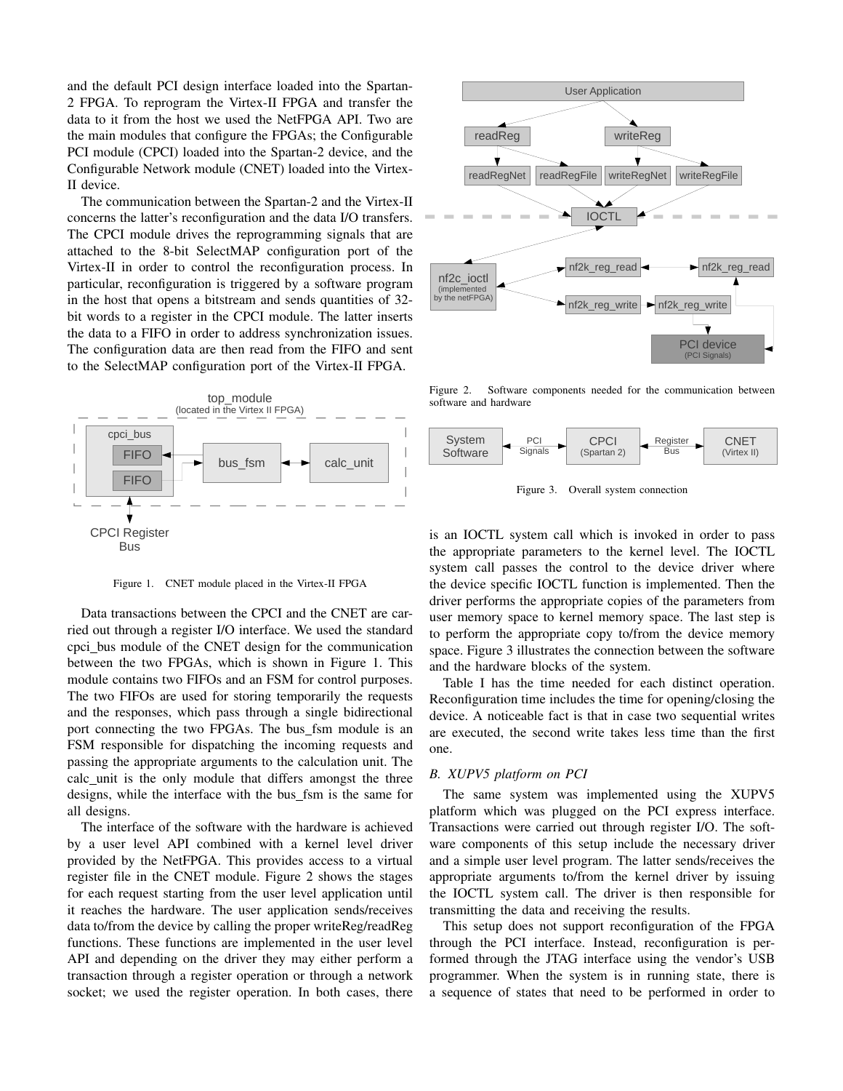and the default PCI design interface loaded into the Spartan-2 FPGA. To reprogram the Virtex-II FPGA and transfer the data to it from the host we used the NetFPGA API. Two are the main modules that configure the FPGAs; the Configurable PCI module (CPCI) loaded into the Spartan-2 device, and the Configurable Network module (CNET) loaded into the Virtex-II device.

The communication between the Spartan-2 and the Virtex-II concerns the latter's reconfiguration and the data I/O transfers. The CPCI module drives the reprogramming signals that are attached to the 8-bit SelectMAP configuration port of the Virtex-II in order to control the reconfiguration process. In particular, reconfiguration is triggered by a software program in the host that opens a bitstream and sends quantities of 32 bit words to a register in the CPCI module. The latter inserts the data to a FIFO in order to address synchronization issues. The configuration data are then read from the FIFO and sent to the SelectMAP configuration port of the Virtex-II FPGA.



Figure 1. CNET module placed in the Virtex-II FPGA

Data transactions between the CPCI and the CNET are carried out through a register I/O interface. We used the standard cpci bus module of the CNET design for the communication between the two FPGAs, which is shown in Figure 1. This module contains two FIFOs and an FSM for control purposes. The two FIFOs are used for storing temporarily the requests and the responses, which pass through a single bidirectional port connecting the two FPGAs. The bus fsm module is an FSM responsible for dispatching the incoming requests and passing the appropriate arguments to the calculation unit. The calc unit is the only module that differs amongst the three designs, while the interface with the bus\_fsm is the same for all designs.

The interface of the software with the hardware is achieved by a user level API combined with a kernel level driver provided by the NetFPGA. This provides access to a virtual register file in the CNET module. Figure 2 shows the stages for each request starting from the user level application until it reaches the hardware. The user application sends/receives data to/from the device by calling the proper writeReg/readReg functions. These functions are implemented in the user level API and depending on the driver they may either perform a transaction through a register operation or through a network socket; we used the register operation. In both cases, there



Figure 2. Software components needed for the communication between software and hardware



Figure 3. Overall system connection

is an IOCTL system call which is invoked in order to pass the appropriate parameters to the kernel level. The IOCTL system call passes the control to the device driver where the device specific IOCTL function is implemented. Then the driver performs the appropriate copies of the parameters from user memory space to kernel memory space. The last step is to perform the appropriate copy to/from the device memory space. Figure 3 illustrates the connection between the software and the hardware blocks of the system.

Table I has the time needed for each distinct operation. Reconfiguration time includes the time for opening/closing the device. A noticeable fact is that in case two sequential writes are executed, the second write takes less time than the first one.

## *B. XUPV5 platform on PCI*

The same system was implemented using the XUPV5 platform which was plugged on the PCI express interface. Transactions were carried out through register I/O. The software components of this setup include the necessary driver and a simple user level program. The latter sends/receives the appropriate arguments to/from the kernel driver by issuing the IOCTL system call. The driver is then responsible for transmitting the data and receiving the results.

This setup does not support reconfiguration of the FPGA through the PCI interface. Instead, reconfiguration is performed through the JTAG interface using the vendor's USB programmer. When the system is in running state, there is a sequence of states that need to be performed in order to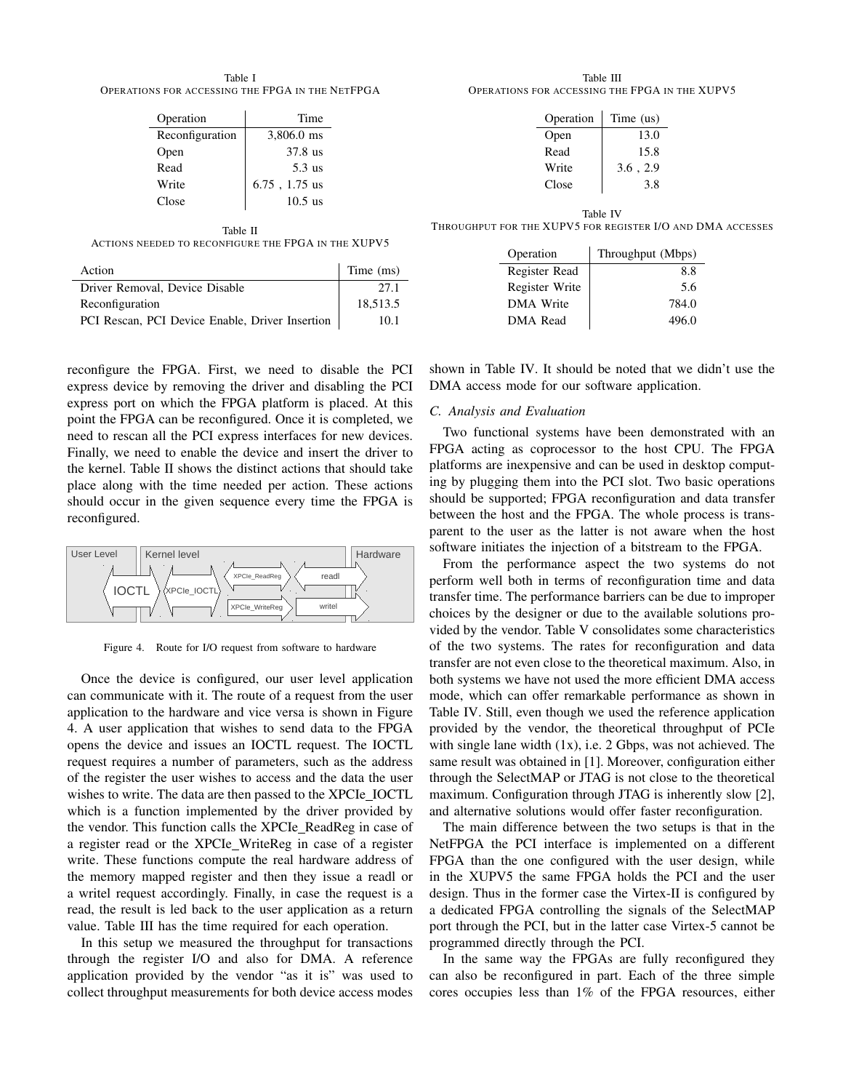Table I OPERATIONS FOR ACCESSING THE FPGA IN THE NETFPGA

| Operation       | Time          |
|-----------------|---------------|
| Reconfiguration | 3,806.0 ms    |
| Open            | $37.8$ us     |
| Read            | $5.3$ us      |
| Write           | 6.75, 1.75 us |
| Close           | $10.5$ us     |

Table II ACTIONS NEEDED TO RECONFIGURE THE FPGA IN THE XUPV5

| Action                                          | Time $(ms)$ |
|-------------------------------------------------|-------------|
| Driver Removal, Device Disable                  | 27.1        |
| Reconfiguration                                 | 18.513.5    |
| PCI Rescan, PCI Device Enable, Driver Insertion | 10.1        |

reconfigure the FPGA. First, we need to disable the PCI express device by removing the driver and disabling the PCI express port on which the FPGA platform is placed. At this point the FPGA can be reconfigured. Once it is completed, we need to rescan all the PCI express interfaces for new devices. Finally, we need to enable the device and insert the driver to the kernel. Table II shows the distinct actions that should take place along with the time needed per action. These actions should occur in the given sequence every time the FPGA is reconfigured.



Figure 4. Route for I/O request from software to hardware

Once the device is configured, our user level application can communicate with it. The route of a request from the user application to the hardware and vice versa is shown in Figure 4. A user application that wishes to send data to the FPGA opens the device and issues an IOCTL request. The IOCTL request requires a number of parameters, such as the address of the register the user wishes to access and the data the user wishes to write. The data are then passed to the XPCIe IOCTL which is a function implemented by the driver provided by the vendor. This function calls the XPCIe ReadReg in case of a register read or the XPCIe WriteReg in case of a register write. These functions compute the real hardware address of the memory mapped register and then they issue a readl or a writel request accordingly. Finally, in case the request is a read, the result is led back to the user application as a return value. Table III has the time required for each operation.

In this setup we measured the throughput for transactions through the register I/O and also for DMA. A reference application provided by the vendor "as it is" was used to collect throughput measurements for both device access modes

Table III OPERATIONS FOR ACCESSING THE FPGA IN THE XUPV5

| Operation | Time (us) |
|-----------|-----------|
| Open      | 13.0      |
| Read      | 15.8      |
| Write     | 3.6, 2.9  |
| Close     | 3.8       |

Table IV THROUGHPUT FOR THE XUPV5 FOR REGISTER I/O AND DMA ACCESSES

| Operation      | Throughput (Mbps) |
|----------------|-------------------|
| Register Read  | 8.8               |
| Register Write | 5.6               |
| DMA Write      | 784.0             |
| DMA Read       | 496.0             |

shown in Table IV. It should be noted that we didn't use the DMA access mode for our software application.

#### *C. Analysis and Evaluation*

Two functional systems have been demonstrated with an FPGA acting as coprocessor to the host CPU. The FPGA platforms are inexpensive and can be used in desktop computing by plugging them into the PCI slot. Two basic operations should be supported; FPGA reconfiguration and data transfer between the host and the FPGA. The whole process is transparent to the user as the latter is not aware when the host software initiates the injection of a bitstream to the FPGA.

From the performance aspect the two systems do not perform well both in terms of reconfiguration time and data transfer time. The performance barriers can be due to improper choices by the designer or due to the available solutions provided by the vendor. Table V consolidates some characteristics of the two systems. The rates for reconfiguration and data transfer are not even close to the theoretical maximum. Also, in both systems we have not used the more efficient DMA access mode, which can offer remarkable performance as shown in Table IV. Still, even though we used the reference application provided by the vendor, the theoretical throughput of PCIe with single lane width  $(1x)$ , i.e. 2 Gbps, was not achieved. The same result was obtained in [1]. Moreover, configuration either through the SelectMAP or JTAG is not close to the theoretical maximum. Configuration through JTAG is inherently slow [2], and alternative solutions would offer faster reconfiguration.

The main difference between the two setups is that in the NetFPGA the PCI interface is implemented on a different FPGA than the one configured with the user design, while in the XUPV5 the same FPGA holds the PCI and the user design. Thus in the former case the Virtex-II is configured by a dedicated FPGA controlling the signals of the SelectMAP port through the PCI, but in the latter case Virtex-5 cannot be programmed directly through the PCI.

In the same way the FPGAs are fully reconfigured they can also be reconfigured in part. Each of the three simple cores occupies less than 1% of the FPGA resources, either